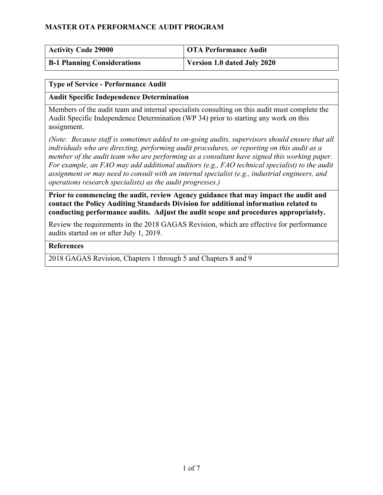| <b>Activity Code 29000</b>         | <b>OTA Performance Audit</b>       |
|------------------------------------|------------------------------------|
| <b>B-1 Planning Considerations</b> | <b>Version 1.0 dated July 2020</b> |

#### **Type of Service - Performance Audit**

#### **Audit Specific Independence Determination**

Members of the audit team and internal specialists consulting on this audit must complete the Audit Specific Independence Determination (WP 34) prior to starting any work on this assignment.

*(Note: Because staff is sometimes added to on-going audits, supervisors should ensure that all individuals who are directing, performing audit procedures, or reporting on this audit as a member of the audit team who are performing as a consultant have signed this working paper. For example, an FAO may add additional auditors (e.g., FAO technical specialist) to the audit assignment or may need to consult with an internal specialist (e.g., industrial engineers, and operations research specialists) as the audit progresses.)*

**Prior to commencing the audit, review Agency guidance that may impact the audit and contact the Policy Auditing Standards Division for additional information related to conducting performance audits. Adjust the audit scope and procedures appropriately.**

Review the requirements in the 2018 GAGAS Revision, which are effective for performance audits started on or after July 1, 2019.

#### **References**

2018 GAGAS Revision, Chapters 1 through 5 and Chapters 8 and 9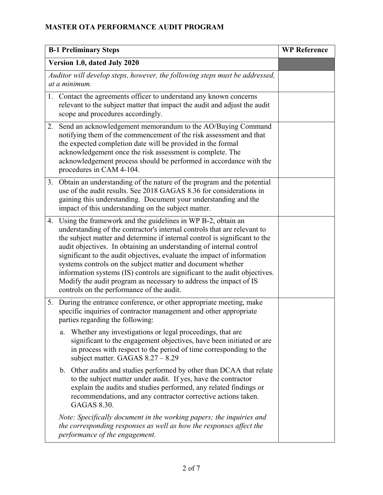| <b>B-1 Preliminary Steps</b>                                                                 |                                                                                                                                                                                                                                                                                                                                                                                                                                                                                                                                                                                                                                           | <b>WP Reference</b> |
|----------------------------------------------------------------------------------------------|-------------------------------------------------------------------------------------------------------------------------------------------------------------------------------------------------------------------------------------------------------------------------------------------------------------------------------------------------------------------------------------------------------------------------------------------------------------------------------------------------------------------------------------------------------------------------------------------------------------------------------------------|---------------------|
| Version 1.0, dated July 2020                                                                 |                                                                                                                                                                                                                                                                                                                                                                                                                                                                                                                                                                                                                                           |                     |
| Auditor will develop steps, however, the following steps must be addressed,<br>at a minimum. |                                                                                                                                                                                                                                                                                                                                                                                                                                                                                                                                                                                                                                           |                     |
|                                                                                              | 1. Contact the agreements officer to understand any known concerns<br>relevant to the subject matter that impact the audit and adjust the audit<br>scope and procedures accordingly.                                                                                                                                                                                                                                                                                                                                                                                                                                                      |                     |
| 2.                                                                                           | Send an acknowledgement memorandum to the AO/Buying Command<br>notifying them of the commencement of the risk assessment and that<br>the expected completion date will be provided in the formal<br>acknowledgement once the risk assessment is complete. The<br>acknowledgement process should be performed in accordance with the<br>procedures in CAM 4-104.                                                                                                                                                                                                                                                                           |                     |
| 3.                                                                                           | Obtain an understanding of the nature of the program and the potential<br>use of the audit results. See 2018 GAGAS 8.36 for considerations in<br>gaining this understanding. Document your understanding and the<br>impact of this understanding on the subject matter.                                                                                                                                                                                                                                                                                                                                                                   |                     |
|                                                                                              | 4. Using the framework and the guidelines in WP B-2, obtain an<br>understanding of the contractor's internal controls that are relevant to<br>the subject matter and determine if internal control is significant to the<br>audit objectives. In obtaining an understanding of internal control<br>significant to the audit objectives, evaluate the impact of information<br>systems controls on the subject matter and document whether<br>information systems (IS) controls are significant to the audit objectives.<br>Modify the audit program as necessary to address the impact of IS<br>controls on the performance of the audit. |                     |
| 5.                                                                                           | During the entrance conference, or other appropriate meeting, make<br>specific inquiries of contractor management and other appropriate<br>parties regarding the following:                                                                                                                                                                                                                                                                                                                                                                                                                                                               |                     |
|                                                                                              | Whether any investigations or legal proceedings, that are<br>a.<br>significant to the engagement objectives, have been initiated or are<br>in process with respect to the period of time corresponding to the<br>subject matter. GAGAS $8.27 - 8.29$                                                                                                                                                                                                                                                                                                                                                                                      |                     |
|                                                                                              | b. Other audits and studies performed by other than DCAA that relate<br>to the subject matter under audit. If yes, have the contractor<br>explain the audits and studies performed, any related findings or<br>recommendations, and any contractor corrective actions taken.<br><b>GAGAS 8.30.</b>                                                                                                                                                                                                                                                                                                                                        |                     |
|                                                                                              | Note: Specifically document in the working papers; the inquiries and<br>the corresponding responses as well as how the responses affect the<br>performance of the engagement.                                                                                                                                                                                                                                                                                                                                                                                                                                                             |                     |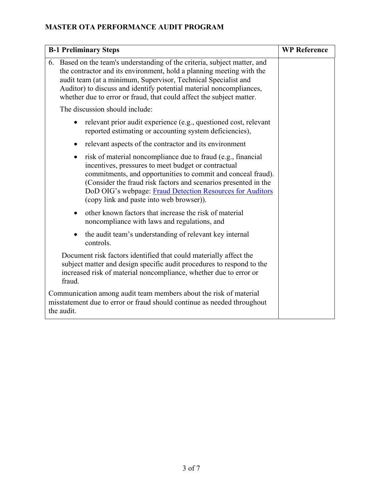| <b>B-1 Preliminary Steps</b>                                                                                                                                                                                                                                                                                                                                                 | <b>WP Reference</b> |
|------------------------------------------------------------------------------------------------------------------------------------------------------------------------------------------------------------------------------------------------------------------------------------------------------------------------------------------------------------------------------|---------------------|
| 6. Based on the team's understanding of the criteria, subject matter, and<br>the contractor and its environment, hold a planning meeting with the<br>audit team (at a minimum, Supervisor, Technical Specialist and<br>Auditor) to discuss and identify potential material noncompliances,<br>whether due to error or fraud, that could affect the subject matter.           |                     |
| The discussion should include:                                                                                                                                                                                                                                                                                                                                               |                     |
| relevant prior audit experience (e.g., questioned cost, relevant<br>reported estimating or accounting system deficiencies),                                                                                                                                                                                                                                                  |                     |
| relevant aspects of the contractor and its environment<br>$\bullet$                                                                                                                                                                                                                                                                                                          |                     |
| risk of material noncompliance due to fraud (e.g., financial<br>$\bullet$<br>incentives, pressures to meet budget or contractual<br>commitments, and opportunities to commit and conceal fraud).<br>(Consider the fraud risk factors and scenarios presented in the<br>DoD OIG's webpage: Fraud Detection Resources for Auditors<br>(copy link and paste into web browser)). |                     |
| other known factors that increase the risk of material<br>$\bullet$<br>noncompliance with laws and regulations, and                                                                                                                                                                                                                                                          |                     |
| the audit team's understanding of relevant key internal<br>controls.                                                                                                                                                                                                                                                                                                         |                     |
| Document risk factors identified that could materially affect the<br>subject matter and design specific audit procedures to respond to the<br>increased risk of material noncompliance, whether due to error or<br>fraud.                                                                                                                                                    |                     |
| Communication among audit team members about the risk of material<br>misstatement due to error or fraud should continue as needed throughout<br>the audit.                                                                                                                                                                                                                   |                     |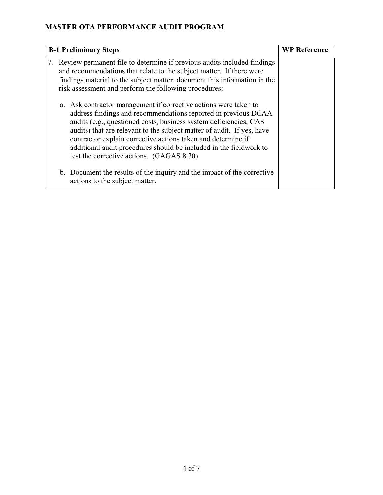| <b>B-1 Preliminary Steps</b>                                                                                                                                                                                                                                                                                                                                                                                                                                         | <b>WP Reference</b> |
|----------------------------------------------------------------------------------------------------------------------------------------------------------------------------------------------------------------------------------------------------------------------------------------------------------------------------------------------------------------------------------------------------------------------------------------------------------------------|---------------------|
| 7. Review permanent file to determine if previous audits included findings<br>and recommendations that relate to the subject matter. If there were<br>findings material to the subject matter, document this information in the<br>risk assessment and perform the following procedures:                                                                                                                                                                             |                     |
| a. Ask contractor management if corrective actions were taken to<br>address findings and recommendations reported in previous DCAA<br>audits (e.g., questioned costs, business system deficiencies, CAS<br>audits) that are relevant to the subject matter of audit. If yes, have<br>contractor explain corrective actions taken and determine if<br>additional audit procedures should be included in the fieldwork to<br>test the corrective actions. (GAGAS 8.30) |                     |
| b. Document the results of the inquiry and the impact of the corrective<br>actions to the subject matter.                                                                                                                                                                                                                                                                                                                                                            |                     |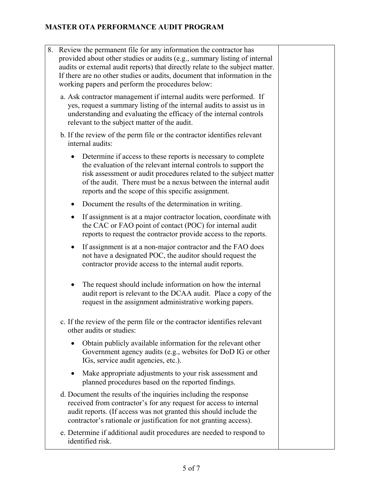- 8. Review the permanent file for any information the contractor has provided about other studies or audits (e.g., summary listing of internal audits or external audit reports) that directly relate to the subject matter. If there are no other studies or audits, document that information in the working papers and perform the procedures below:
	- a. Ask contractor management if internal audits were performed. If yes, request a summary listing of the internal audits to assist us in understanding and evaluating the efficacy of the internal controls relevant to the subject matter of the audit.
	- b. If the review of the perm file or the contractor identifies relevant internal audits:
		- Determine if access to these reports is necessary to complete the evaluation of the relevant internal controls to support the risk assessment or audit procedures related to the subject matter of the audit. There must be a nexus between the internal audit reports and the scope of this specific assignment.
		- Document the results of the determination in writing.
		- If assignment is at a major contractor location, coordinate with the CAC or FAO point of contact (POC) for internal audit reports to request the contractor provide access to the reports.
		- If assignment is at a non-major contractor and the FAO does not have a designated POC, the auditor should request the contractor provide access to the internal audit reports.
		- The request should include information on how the internal audit report is relevant to the DCAA audit. Place a copy of the request in the assignment administrative working papers.
	- c. If the review of the perm file or the contractor identifies relevant other audits or studies:
		- Obtain publicly available information for the relevant other Government agency audits (e.g., websites for DoD IG or other IGs, service audit agencies, etc.).
		- Make appropriate adjustments to your risk assessment and planned procedures based on the reported findings.
	- d. Document the results of the inquiries including the response received from contractor's for any request for access to internal audit reports. (If access was not granted this should include the contractor's rationale or justification for not granting access).
	- e. Determine if additional audit procedures are needed to respond to identified risk.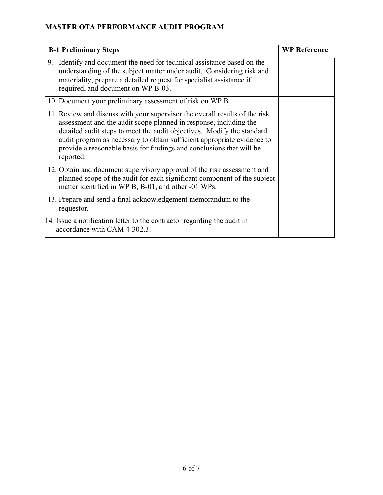| <b>B-1 Preliminary Steps</b>                                                                                                                                                                                                                                                                                                                                                               | <b>WP Reference</b> |
|--------------------------------------------------------------------------------------------------------------------------------------------------------------------------------------------------------------------------------------------------------------------------------------------------------------------------------------------------------------------------------------------|---------------------|
| 9. Identify and document the need for technical assistance based on the<br>understanding of the subject matter under audit. Considering risk and<br>materiality, prepare a detailed request for specialist assistance if<br>required, and document on WP B-03.                                                                                                                             |                     |
| 10. Document your preliminary assessment of risk on WP B.                                                                                                                                                                                                                                                                                                                                  |                     |
| 11. Review and discuss with your supervisor the overall results of the risk<br>assessment and the audit scope planned in response, including the<br>detailed audit steps to meet the audit objectives. Modify the standard<br>audit program as necessary to obtain sufficient appropriate evidence to<br>provide a reasonable basis for findings and conclusions that will be<br>reported. |                     |
| 12. Obtain and document supervisory approval of the risk assessment and<br>planned scope of the audit for each significant component of the subject<br>matter identified in WP B, B-01, and other -01 WPs.                                                                                                                                                                                 |                     |
| 13. Prepare and send a final acknowledgement memorandum to the<br>requestor.                                                                                                                                                                                                                                                                                                               |                     |
| 14. Issue a notification letter to the contractor regarding the audit in<br>accordance with CAM 4-302.3.                                                                                                                                                                                                                                                                                   |                     |